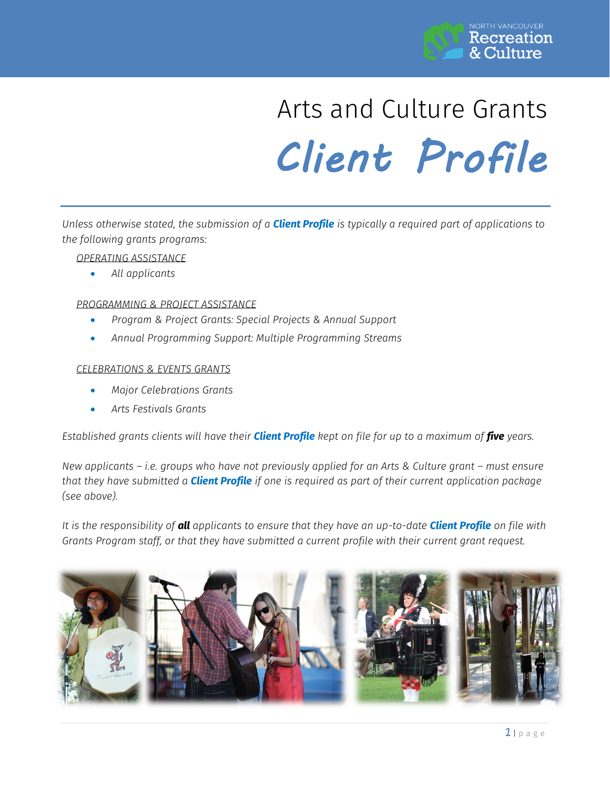

# Arts and Culture Grants *Client Profile*

*Unless otherwise stated, the submission of a Client Profile is typically a required part of applications to the following grants programs:*

# *OPERATING ASSISTANCE*

*All applicants*

# *PROGRAMMING & PROJECT ASSISTANCE*

- *Program & Project Grants: Special Projects & Annual Support*
- *Annual Programming Support: Multiple Programming Streams*

#### *CELEBRATIONS & EVENTS GRANTS*

- *Major Celebrations Grants*
- *Arts Festivals Grants*

*Established grants clients will have their Client Profile kept on file for up to a maximum of five years.*

*New applicants – i.e. groups who have not previously applied for an Arts & Culture grant – must ensure that they have submitted a Client Profile if one is required as part of their current application package (see above).*

*It is the responsibility of all applicants to ensure that they have an up-to-date Client Profile on file with Grants Program staff, or that they have submitted a current profile with their current grant request.* 

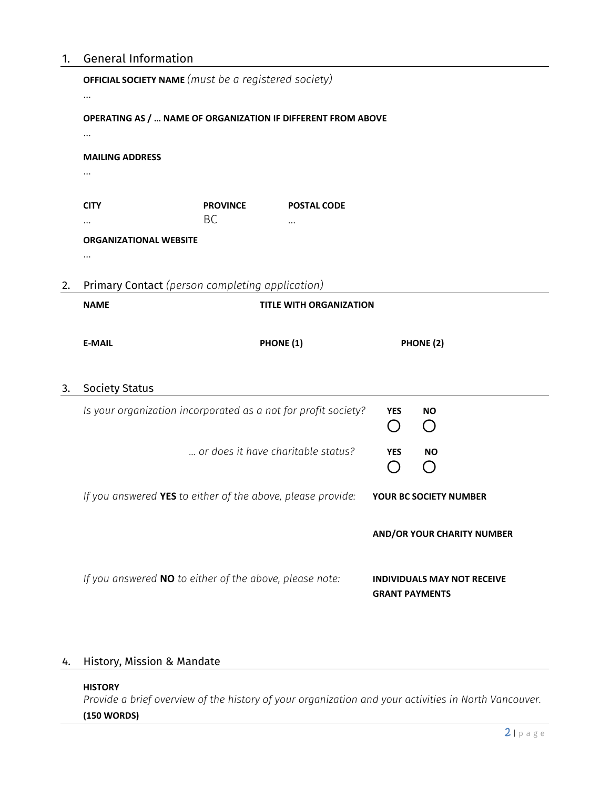# 1. General Information

| OPERATING AS /  NAME OF ORGANIZATION IF DIFFERENT FROM ABOVE<br><br><b>MAILING ADDRESS</b><br><b>CITY</b><br><b>PROVINCE</b><br><b>POSTAL CODE</b><br><b>BC</b><br>$\cdots$<br><b>ORGANIZATIONAL WEBSITE</b><br>Primary Contact (person completing application)<br>2.<br><b>NAME</b><br><b>TITLE WITH ORGANIZATION</b><br><b>E-MAIL</b><br>PHONE (1)<br>PHONE (2)<br><b>Society Status</b><br>3.<br>Is your organization incorporated as a not for profit society?<br><b>YES</b><br><b>NO</b><br>$\left( \begin{array}{c} \end{array} \right)$<br>$\bigcap$<br>or does it have charitable status?<br><b>YES</b><br><b>NO</b><br>$\left( \begin{array}{c} 1 \end{array} \right)$<br>( )<br>If you answered YES to either of the above, please provide:<br>YOUR BC SOCIETY NUMBER<br><b>AND/OR YOUR CHARITY NUMBER</b><br>If you answered NO to either of the above, please note:<br><b>INDIVIDUALS MAY NOT RECEIVE</b> | <b>OFFICIAL SOCIETY NAME</b> (must be a registered society) |  |  |  |  |  |  |
|-----------------------------------------------------------------------------------------------------------------------------------------------------------------------------------------------------------------------------------------------------------------------------------------------------------------------------------------------------------------------------------------------------------------------------------------------------------------------------------------------------------------------------------------------------------------------------------------------------------------------------------------------------------------------------------------------------------------------------------------------------------------------------------------------------------------------------------------------------------------------------------------------------------------------|-------------------------------------------------------------|--|--|--|--|--|--|
|                                                                                                                                                                                                                                                                                                                                                                                                                                                                                                                                                                                                                                                                                                                                                                                                                                                                                                                       |                                                             |  |  |  |  |  |  |
|                                                                                                                                                                                                                                                                                                                                                                                                                                                                                                                                                                                                                                                                                                                                                                                                                                                                                                                       |                                                             |  |  |  |  |  |  |
|                                                                                                                                                                                                                                                                                                                                                                                                                                                                                                                                                                                                                                                                                                                                                                                                                                                                                                                       |                                                             |  |  |  |  |  |  |
|                                                                                                                                                                                                                                                                                                                                                                                                                                                                                                                                                                                                                                                                                                                                                                                                                                                                                                                       |                                                             |  |  |  |  |  |  |
|                                                                                                                                                                                                                                                                                                                                                                                                                                                                                                                                                                                                                                                                                                                                                                                                                                                                                                                       |                                                             |  |  |  |  |  |  |
|                                                                                                                                                                                                                                                                                                                                                                                                                                                                                                                                                                                                                                                                                                                                                                                                                                                                                                                       |                                                             |  |  |  |  |  |  |
|                                                                                                                                                                                                                                                                                                                                                                                                                                                                                                                                                                                                                                                                                                                                                                                                                                                                                                                       |                                                             |  |  |  |  |  |  |
|                                                                                                                                                                                                                                                                                                                                                                                                                                                                                                                                                                                                                                                                                                                                                                                                                                                                                                                       |                                                             |  |  |  |  |  |  |
|                                                                                                                                                                                                                                                                                                                                                                                                                                                                                                                                                                                                                                                                                                                                                                                                                                                                                                                       |                                                             |  |  |  |  |  |  |
|                                                                                                                                                                                                                                                                                                                                                                                                                                                                                                                                                                                                                                                                                                                                                                                                                                                                                                                       |                                                             |  |  |  |  |  |  |
|                                                                                                                                                                                                                                                                                                                                                                                                                                                                                                                                                                                                                                                                                                                                                                                                                                                                                                                       |                                                             |  |  |  |  |  |  |
|                                                                                                                                                                                                                                                                                                                                                                                                                                                                                                                                                                                                                                                                                                                                                                                                                                                                                                                       |                                                             |  |  |  |  |  |  |
|                                                                                                                                                                                                                                                                                                                                                                                                                                                                                                                                                                                                                                                                                                                                                                                                                                                                                                                       |                                                             |  |  |  |  |  |  |
|                                                                                                                                                                                                                                                                                                                                                                                                                                                                                                                                                                                                                                                                                                                                                                                                                                                                                                                       |                                                             |  |  |  |  |  |  |
|                                                                                                                                                                                                                                                                                                                                                                                                                                                                                                                                                                                                                                                                                                                                                                                                                                                                                                                       |                                                             |  |  |  |  |  |  |
|                                                                                                                                                                                                                                                                                                                                                                                                                                                                                                                                                                                                                                                                                                                                                                                                                                                                                                                       |                                                             |  |  |  |  |  |  |
| <b>GRANT PAYMENTS</b>                                                                                                                                                                                                                                                                                                                                                                                                                                                                                                                                                                                                                                                                                                                                                                                                                                                                                                 |                                                             |  |  |  |  |  |  |

# 4. History, Mission & Mandate

#### **HISTORY**

*Provide a brief overview of the history of your organization and your activities in North Vancouver.*  **(150 WORDS)**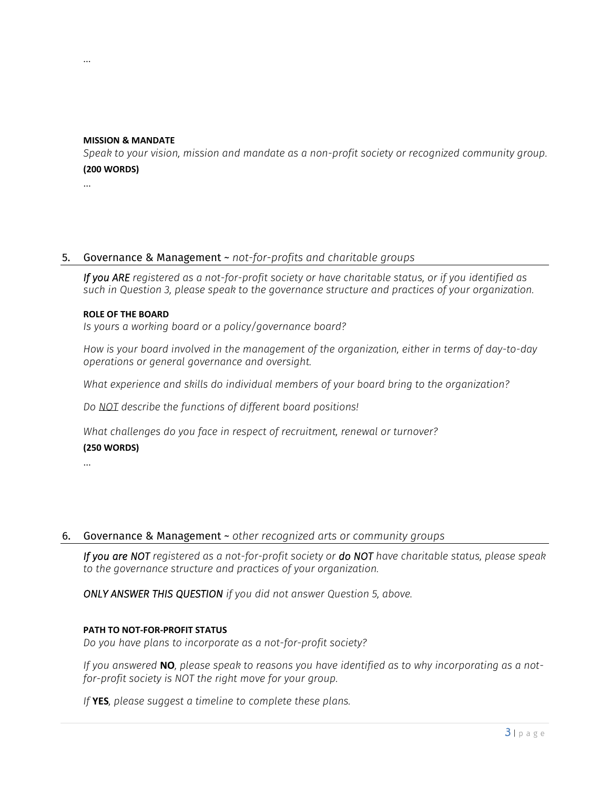# **MISSION & MANDATE**

*Speak to your vision, mission and mandate as a non-profit society or recognized community group.*  **(200 WORDS)**

…

# 5. Governance & Management ~ *not-for-profits and charitable groups*

*If you ARE registered as a not-for-profit society or have charitable status, or if you identified as such in Question 3, please speak to the governance structure and practices of your organization.* 

#### **ROLE OF THE BOARD**

*Is yours a working board or a policy/governance board?* 

*How is your board involved in the management of the organization, either in terms of day-to-day operations or general governance and oversight.*

*What experience and skills do individual members of your board bring to the organization?* 

*Do NOT describe the functions of different board positions!*

*What challenges do you face in respect of recruitment, renewal or turnover?* **(250 WORDS)**

# 6. Governance & Management ~ *other recognized arts or community groups*

*If you are NOT registered as a not-for-profit society or do NOT have charitable status, please speak to the governance structure and practices of your organization.* 

*ONLY ANSWER THIS QUESTION if you did not answer Question 5, above.*

#### **PATH TO NOT-FOR-PROFIT STATUS**

*Do you have plans to incorporate as a not-for-profit society?*

*If you answered* **NO***, please speak to reasons you have identified as to why incorporating as a notfor-profit society is NOT the right move for your group.*

*If* **YES***, please suggest a timeline to complete these plans.*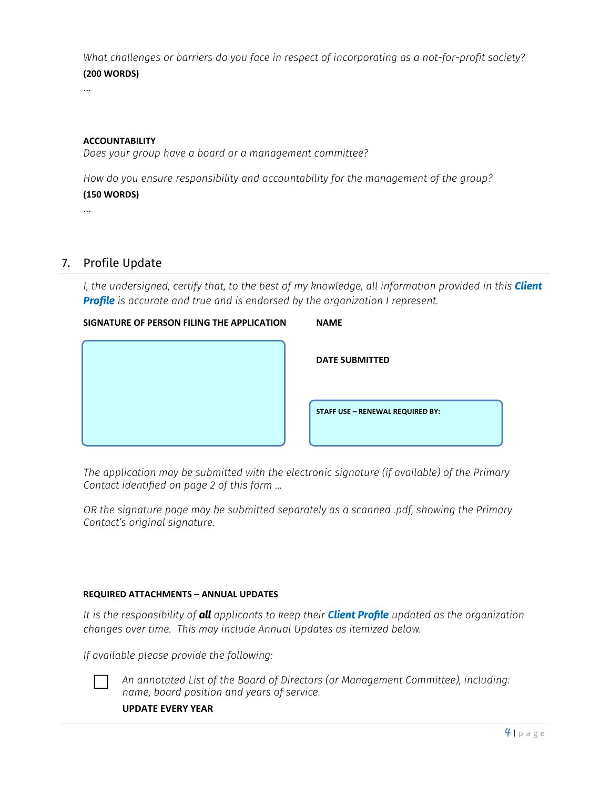*What challenges or barriers do you face in respect of incorporating as a not-for-profit society?* **(200 WORDS)**

…

# **ACCOUNTABILITY**

*Does your group have a board or a management committee?*

*How do you ensure responsibility and accountability for the management of the group?* **(150 WORDS)**

…

# 7. Profile Update

*I, the undersigned, certify that, to the best of my knowledge, all information provided in this Client Profile is accurate and true and is endorsed by the organization I represent.*

# **SIGNATURE OF PERSON FILING THE APPLICATION NAME**

| <b>DATE SUBMITTED</b>            |
|----------------------------------|
| STAFF USE - RENEWAL REQUIRED BY: |

*The application may be submitted with the electronic signature (if available) of the Primary Contact identified on page 2 of this form …*

*OR the signature page may be submitted separately as a scanned .pdf, showing the Primary Contact's original signature.* 

# **REQUIRED ATTACHMENTS – ANNUAL UPDATES**

*It is the responsibility of all applicants to keep their Client Profile updated as the organization changes over time. This may include Annual Updates as itemized below.*

*If available please provide the following:*



 *An annotated List of the Board of Directors (or Management Committee), including: name, board position and years of service.*

**UPDATE EVERY YEAR**